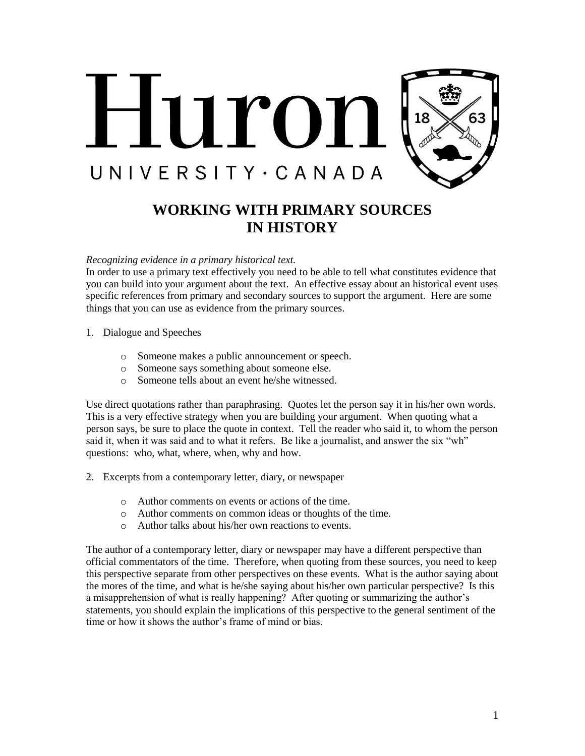

# **WORKING WITH PRIMARY SOURCES IN HISTORY**

#### *Recognizing evidence in a primary historical text.*

In order to use a primary text effectively you need to be able to tell what constitutes evidence that you can build into your argument about the text. An effective essay about an historical event uses specific references from primary and secondary sources to support the argument. Here are some things that you can use as evidence from the primary sources.

- 1. Dialogue and Speeches
	- o Someone makes a public announcement or speech.
	- o Someone says something about someone else.
	- o Someone tells about an event he/she witnessed.

Use direct quotations rather than paraphrasing. Quotes let the person say it in his/her own words. This is a very effective strategy when you are building your argument. When quoting what a person says, be sure to place the quote in context. Tell the reader who said it, to whom the person said it, when it was said and to what it refers. Be like a journalist, and answer the six "wh" questions: who, what, where, when, why and how.

- 2. Excerpts from a contemporary letter, diary, or newspaper
	- o Author comments on events or actions of the time.
	- o Author comments on common ideas or thoughts of the time.
	- o Author talks about his/her own reactions to events.

The author of a contemporary letter, diary or newspaper may have a different perspective than official commentators of the time. Therefore, when quoting from these sources, you need to keep this perspective separate from other perspectives on these events. What is the author saying about the mores of the time, and what is he/she saying about his/her own particular perspective? Is this a misapprehension of what is really happening? After quoting or summarizing the author's statements, you should explain the implications of this perspective to the general sentiment of the time or how it shows the author's frame of mind or bias.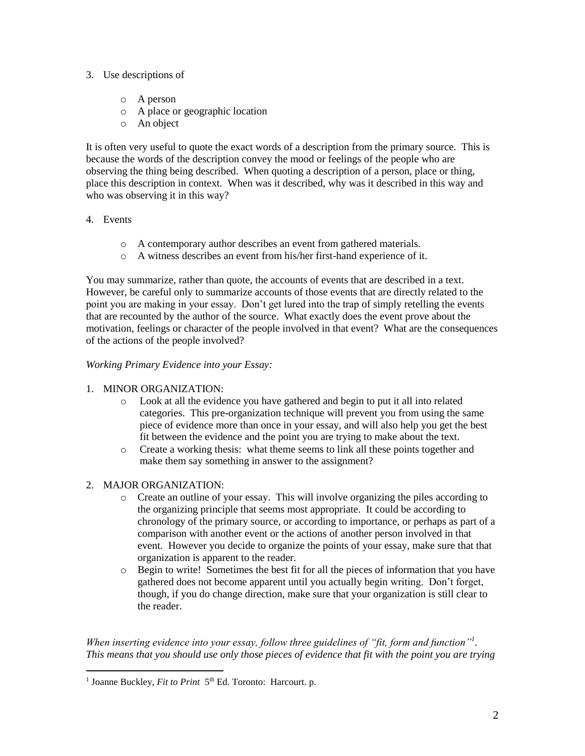## 3. Use descriptions of

- o A person
- o A place or geographic location
- o An object

It is often very useful to quote the exact words of a description from the primary source. This is because the words of the description convey the mood or feelings of the people who are observing the thing being described. When quoting a description of a person, place or thing, place this description in context. When was it described, why was it described in this way and who was observing it in this way?

## 4. Events

- o A contemporary author describes an event from gathered materials.
- o A witness describes an event from his/her first-hand experience of it.

You may summarize, rather than quote, the accounts of events that are described in a text. However, be careful only to summarize accounts of those events that are directly related to the point you are making in your essay. Don't get lured into the trap of simply retelling the events that are recounted by the author of the source. What exactly does the event prove about the motivation, feelings or character of the people involved in that event? What are the consequences of the actions of the people involved?

## *Working Primary Evidence into your Essay:*

## 1. MINOR ORGANIZATION:

- o Look at all the evidence you have gathered and begin to put it all into related categories. This pre-organization technique will prevent you from using the same piece of evidence more than once in your essay, and will also help you get the best fit between the evidence and the point you are trying to make about the text.
- o Create a working thesis: what theme seems to link all these points together and make them say something in answer to the assignment?

## 2. MAJOR ORGANIZATION:

 $\overline{a}$ 

- o Create an outline of your essay. This will involve organizing the piles according to the organizing principle that seems most appropriate. It could be according to chronology of the primary source, or according to importance, or perhaps as part of a comparison with another event or the actions of another person involved in that event. However you decide to organize the points of your essay, make sure that that organization is apparent to the reader.
- o Begin to write! Sometimes the best fit for all the pieces of information that you have gathered does not become apparent until you actually begin writing. Don't forget, though, if you do change direction, make sure that your organization is still clear to the reader.

*When inserting evidence into your essay, follow three guidelines of "fit, form and function"<sup>1</sup> . This means that you should use only those pieces of evidence that fit with the point you are trying* 

<sup>&</sup>lt;sup>1</sup> Joanne Buckley, *Fit to Print* 5<sup>th</sup> Ed. Toronto: Harcourt. p.